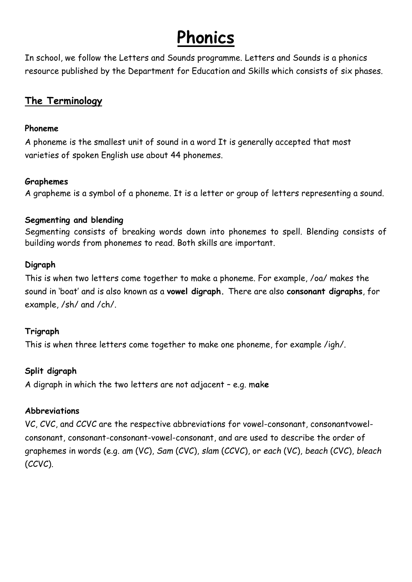## **Phonics**

In school, we follow the Letters and Sounds programme. Letters and Sounds is a phonics resource published by the Department for Education and Skills which consists of six phases.

#### **The Terminology**

#### **Phoneme**

A phoneme is the smallest unit of sound in a word It is generally accepted that most varieties of spoken English use about 44 phonemes.

#### **Graphemes**

A grapheme is a symbol of a phoneme. It is a letter or group of letters representing a sound.

#### **Segmenting and blending**

Segmenting consists of breaking words down into phonemes to spell. Blending consists of building words from phonemes to read. Both skills are important.

#### **Digraph**

This is when two letters come together to make a phoneme. For example, /oa/ makes the sound in 'boat' and is also known as a **vowel digraph.** There are also **consonant digraphs**, for example, /sh/ and /ch/.

#### **Trigraph**

This is when three letters come together to make one phoneme, for example /igh/.

#### **Split digraph**

A digraph in which the two letters are not adjacent – e.g. m**a**k**e**

#### **Abbreviations**

VC, CVC, and CCVC are the respective abbreviations for vowel-consonant, consonantvowelconsonant, consonant-consonant-vowel-consonant, and are used to describe the order of graphemes in words (e.g. *am* (VC), *Sam* (CVC), *slam* (CCVC), or *each* (VC), *beach* (CVC), *bleach*  (CCVC).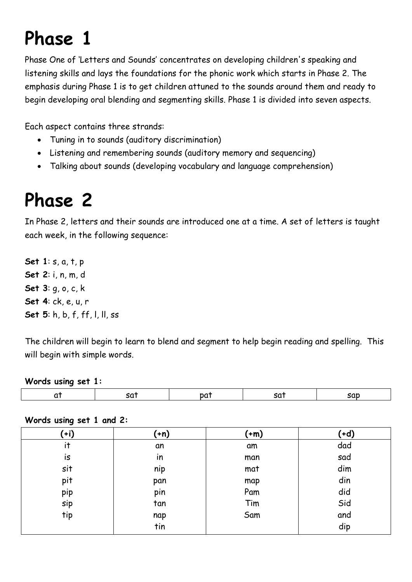# **Phase 1**

Phase One of 'Letters and Sounds' concentrates on developing children's speaking and listening skills and lays the foundations for the phonic work which starts in Phase 2. The emphasis during Phase 1 is to get children attuned to the sounds around them and ready to begin developing oral blending and segmenting skills. Phase 1 is divided into seven aspects.

Each aspect contains three strands:

- Tuning in to sounds (auditory discrimination)
- Listening and remembering sounds (auditory memory and sequencing)
- Talking about sounds (developing vocabulary and language comprehension)

## **Phase 2**

In Phase 2, letters and their sounds are introduced one at a time. A set of letters is taught each week, in the following sequence:

**Set 1**: s, a, t, p **Set 2**: i, n, m, d **Set 3**: g, o, c, k **Set 4**: ck, e, u, r **Set 5**: h, b, f, ff, l, ll, ss

The children will begin to learn to blend and segment to help begin reading and spelling. This will begin with simple words.

#### **Words using set 1:**

| $(+i)$ | $(+n)$ | $(+m)$ | $(+d)$ |
|--------|--------|--------|--------|
| it     | an     | am     | dad    |
| is     | in     | man    | sad    |
| sit    | nip    | mat    | dim    |
| pit    | pan    | map    | din    |
| pip    | pin    | Pam    | did    |
| sip    | tan    | Tim    | Sid    |
| tip    | nap    | Sam    | and    |
|        | tin    |        | dip    |

**Words using set 1 and 2:**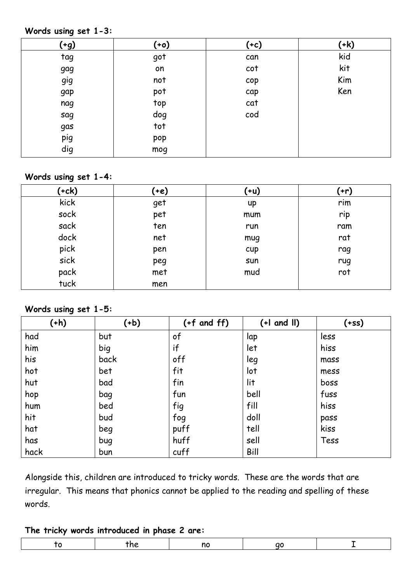#### **Words using set 1-3:**

| <u>(+g)</u> | $(+0)$ | (+c) | $(+k)$ |
|-------------|--------|------|--------|
| tag         | got    | can  | kid    |
| gag         | on     | cot  | kit    |
| gig         | not    | cop  | Kim    |
| gap         | pot    | cap  | Ken    |
| nag         | top    | cat  |        |
| sag         | dog    | cod  |        |
| gas         | tot    |      |        |
| pig         | pop    |      |        |
| dig         | mog    |      |        |

#### **Words using set 1-4:**

| $(+ck)$ | (+e) | (+u) | $(+r)$ |
|---------|------|------|--------|
| kick    | get  | up   | rim    |
| sock    | pet  | mum  | rip    |
| sack    | ten  | run  | ram    |
| dock    | net  | mug  | rat    |
| pick    | pen  | cup  | rag    |
| sick    | peg  | sun  | rug    |
| pack    | met  | mud  | rot    |
| tuck    | men  |      |        |

#### **Words using set 1-5:**

| $(+h)$ | $(+b)$ | $(+f$ and $ff)$ | $(+1$ and $\parallel$ ) | $(+ss)$ |
|--------|--------|-----------------|-------------------------|---------|
| had    | but    | of              | lap                     | less    |
| him    | big    | if              | let                     | hiss    |
| his    | back   | off             | leg                     | mass    |
| hot    | bet    | fit             | lot                     | mess    |
| hut    | bad    | fin             | lit                     | boss    |
| hop    | bag    | fun             | bell                    | fuss    |
| hum    | bed    | fig             | fill                    | hiss    |
| hit    | bud    | fog             | doll                    | pass    |
| hat    | beg    | puff            | tell                    | kiss    |
| has    | bug    | huff            | sell                    | Tess    |
| hack   | bun    | cuff            | Bill                    |         |

Alongside this, children are introduced to tricky words. These are the words that are irregular. This means that phonics cannot be applied to the reading and spelling of these words.

#### **The tricky words introduced in phase 2 are:**

|--|--|--|--|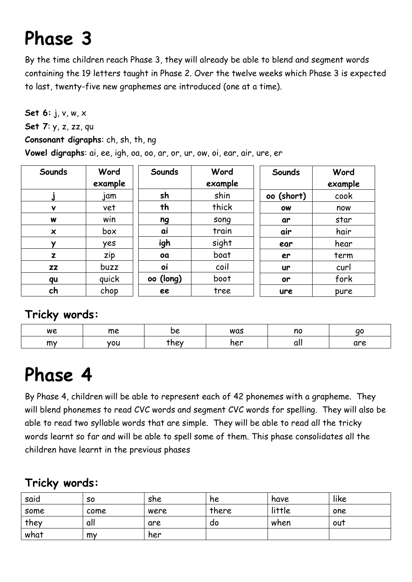# **Phase 3**

By the time children reach Phase 3, they will already be able to blend and segment words containing the 19 letters taught in Phase 2. Over the twelve weeks which Phase 3 is expected to last, twenty-five new graphemes are introduced (one at a time).

**Set 6:** j, v, w, x **Set 7**: y, z, zz, qu **Consonant digraphs**: ch, sh, th, ng **Vowel digraphs**: ai, ee, igh, oa, oo, ar, or, ur, ow, oi, ear, air, ure, er

| Sounds       | Word    | Sounds    | Word    | Sounds     | Word    |
|--------------|---------|-----------|---------|------------|---------|
|              | example |           | example |            | example |
|              | jam     | sh        | shin    | oo (short) | cook    |
| v            | vet     | th        | thick   | <b>OW</b>  | now     |
| W            | win     | ng        | song    | ar         | star    |
| ×            | box     | ai        | train   | air        | hair    |
| ν            | yes     | igh       | sight   | ear        | hear    |
| $\mathbf{z}$ | zip     | oa        | boat    | er         | term    |
| zz           | buzz    | oi        | coil    | ur         | curl    |
| qu           | quick   | oo (long) | boot    | or         | fork    |
| ch           | chop    | ee        | tree    | ure        | pure    |

### **Tricky words:**

| we | me  | --<br>16 | was | no | ac  |
|----|-----|----------|-----|----|-----|
| my | vou | rhey     | ner | uu | are |

## **Phase 4**

By Phase 4, children will be able to represent each of 42 phonemes with a grapheme. They will blend phonemes to read CVC words and segment CVC words for spelling. They will also be able to read two syllable words that are simple. They will be able to read all the tricky words learnt so far and will be able to spell some of them. This phase consolidates all the children have learnt in the previous phases

### **Tricky words:**

| said | S0   | she  | he    | have   | like |
|------|------|------|-------|--------|------|
| some | come | were | there | little | one  |
| they | all  | are  | do    | when   | out  |
| what | my   | her  |       |        |      |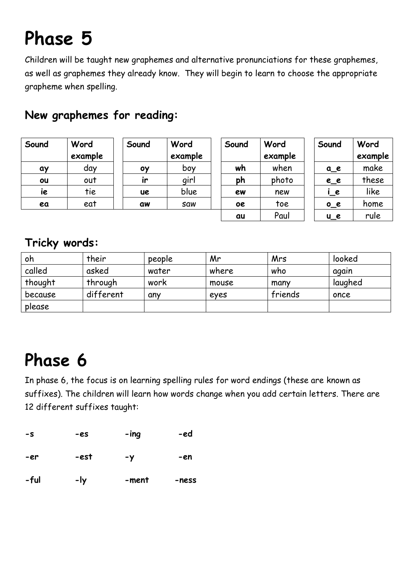# **Phase 5**

Children will be taught new graphemes and alternative pronunciations for these graphemes, as well as graphemes they already know. They will begin to learn to choose the appropriate grapheme when spelling.

| Sound | Word<br>example | Sound     | Word<br>example | Sound     | Word<br>example | Sound            | Word<br>example |
|-------|-----------------|-----------|-----------------|-----------|-----------------|------------------|-----------------|
| ay    | day             | 0Y        | boy             | wh        | when            | $a_e$            | make            |
| ou    | out             | ir        | girl            | ph        | photo           | $e$ <sup>e</sup> | these           |
| ie    | tie             | <b>UC</b> | blue            | ew        | new             | $\overline{C}$   | like            |
| ea    | eat             | aw        | <b>SQW</b>      | <b>oe</b> | toe             | 0e               | home            |
|       |                 |           |                 | au        | Paul            | $u_e$            | rule            |

### **New graphemes for reading:**

### **Tricky words:**

| oh      | their     | people | Mr    | Mrs     | looked  |
|---------|-----------|--------|-------|---------|---------|
| called  | asked     | water  | where | who     | again   |
| thought | through   | work   | mouse | many    | laughed |
| because | different | any    | eves  | friends | once    |
| please  |           |        |       |         |         |

## **Phase 6**

In phase 6, the focus is on learning spelling rules for word endings (these are known as suffixes). The children will learn how words change when you add certain letters. There are 12 different suffixes taught:

| -s   | -es  | -ing  | -ed   |
|------|------|-------|-------|
| -er  | -est | $-y$  | -en   |
| -ful | -ly  | -ment | -ness |